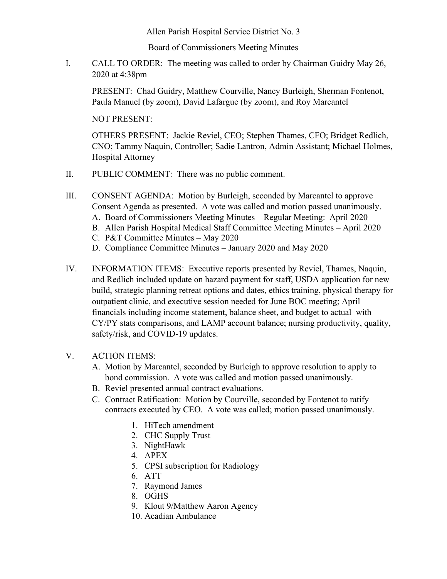Allen Parish Hospital Service District No. 3

Board of Commissioners Meeting Minutes

I. CALL TO ORDER: The meeting was called to order by Chairman Guidry May 26, 2020 at 4:38pm

PRESENT: Chad Guidry, Matthew Courville, Nancy Burleigh, Sherman Fontenot, Paula Manuel (by zoom), David Lafargue (by zoom), and Roy Marcantel

NOT PRESENT:

OTHERS PRESENT: Jackie Reviel, CEO; Stephen Thames, CFO; Bridget Redlich, CNO; Tammy Naquin, Controller; Sadie Lantron, Admin Assistant; Michael Holmes, Hospital Attorney

- II. PUBLIC COMMENT: There was no public comment.
- III. CONSENT AGENDA: Motion by Burleigh, seconded by Marcantel to approve Consent Agenda as presented. A vote was called and motion passed unanimously.
	- A. Board of Commissioners Meeting Minutes Regular Meeting: April 2020
	- B. Allen Parish Hospital Medical Staff Committee Meeting Minutes April 2020
	- C. P&T Committee Minutes May 2020
	- D. Compliance Committee Minutes January 2020 and May 2020
- IV. INFORMATION ITEMS: Executive reports presented by Reviel, Thames, Naquin, and Redlich included update on hazard payment for staff, USDA application for new build, strategic planning retreat options and dates, ethics training, physical therapy for outpatient clinic, and executive session needed for June BOC meeting; April financials including income statement, balance sheet, and budget to actual with CY/PY stats comparisons, and LAMP account balance; nursing productivity, quality, safety/risk, and COVID-19 updates.
- V. ACTION ITEMS:
	- A. Motion by Marcantel, seconded by Burleigh to approve resolution to apply to bond commission. A vote was called and motion passed unanimously.
	- B. Reviel presented annual contract evaluations.
	- C. Contract Ratification: Motion by Courville, seconded by Fontenot to ratify contracts executed by CEO. A vote was called; motion passed unanimously.
		- 1. HiTech amendment
		- 2. CHC Supply Trust
		- 3. NightHawk
		- 4. APEX
		- 5. CPSI subscription for Radiology
		- 6. ATT
		- 7. Raymond James
		- 8. OGHS
		- 9. Klout 9/Matthew Aaron Agency
		- 10. Acadian Ambulance